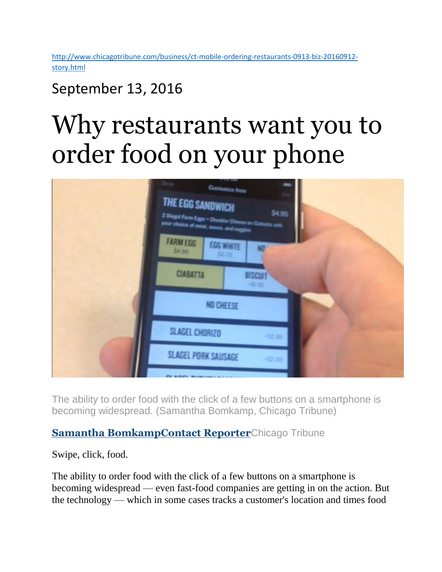[http://www.chicagotribune.com/business/ct-mobile-ordering-restaurants-0913-biz-20160912](http://www.chicagotribune.com/business/ct-mobile-ordering-restaurants-0913-biz-20160912-story.html) [story.html](http://www.chicagotribune.com/business/ct-mobile-ordering-restaurants-0913-biz-20160912-story.html)

## September 13, 2016

# Why restaurants want you to order food on your phone



The ability to order food with the click of a few buttons on a smartphone is becoming widespread. (Samantha Bomkamp, Chicago Tribune)

#### **[Samantha BomkampContact Reporter](http://www.chicagotribune.com/chi-samantha-bomkamp-staff.html#nt=byline)**Chicago Tribune

Swipe, click, food.

The ability to order food with the click of a few buttons on a smartphone is becoming widespread — even fast-food companies are getting in on the action. But the technology — which in some cases tracks a customer's location and times food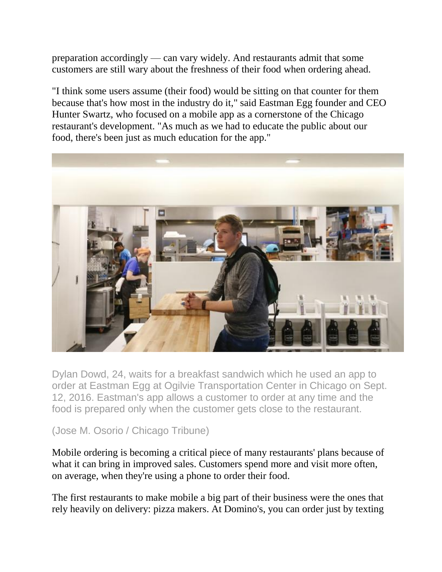preparation accordingly — can vary widely. And restaurants admit that some customers are still wary about the freshness of their food when ordering ahead.

"I think some users assume (their food) would be sitting on that counter for them because that's how most in the industry do it," said Eastman Egg founder and CEO Hunter Swartz, who focused on a mobile app as a cornerstone of the Chicago restaurant's development. "As much as we had to educate the public about our food, there's been just as much education for the app."



Dylan Dowd, 24, waits for a breakfast sandwich which he used an app to order at Eastman Egg at Ogilvie Transportation Center in Chicago on Sept. 12, 2016. Eastman's app allows a customer to order at any time and the food is prepared only when the customer gets close to the restaurant.

#### (Jose M. Osorio / Chicago Tribune)

Mobile ordering is becoming a critical piece of many restaurants' plans because of what it can bring in improved sales. Customers spend more and visit more often, on average, when they're using a phone to order their food.

The first restaurants to make mobile a big part of their business were the ones that rely heavily on delivery: pizza makers. At Domino's, you can order just by texting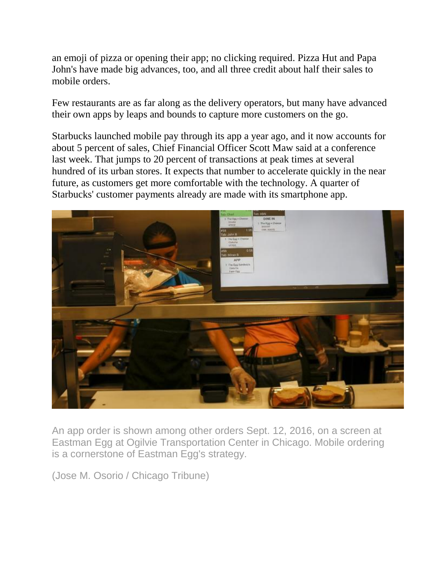an emoji of pizza or opening their app; no clicking required. Pizza Hut and Papa John's have made big advances, too, and all three credit about half their sales to mobile orders.

Few restaurants are as far along as the delivery operators, but many have advanced their own apps by leaps and bounds to capture more customers on the go.

Starbucks launched mobile pay through its app a year ago, and it now accounts for about 5 percent of sales, Chief Financial Officer Scott Maw said at a conference last week. That jumps to 20 percent of transactions at peak times at several hundred of its urban stores. It expects that number to accelerate quickly in the near future, as customers get more comfortable with the technology. A quarter of Starbucks' customer payments already are made with its smartphone app.



An app order is shown among other orders Sept. 12, 2016, on a screen at Eastman Egg at Ogilvie Transportation Center in Chicago. Mobile ordering is a cornerstone of Eastman Egg's strategy.

(Jose M. Osorio / Chicago Tribune)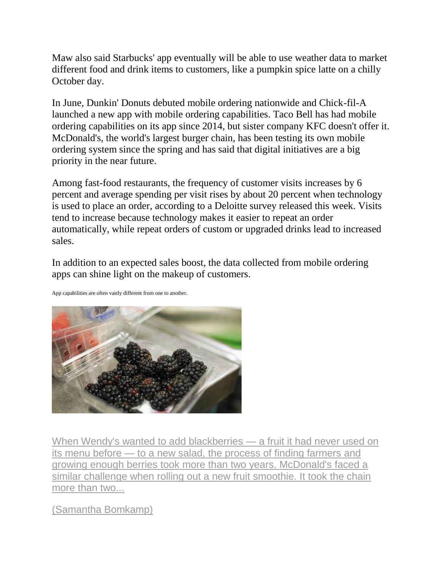Maw also said Starbucks' app eventually will be able to use weather data to market different food and drink items to customers, like a pumpkin spice latte on a chilly October day.

In June, Dunkin' Donuts debuted mobile ordering nationwide and Chick-fil-A launched a new app with mobile ordering capabilities. Taco Bell has had mobile ordering capabilities on its app since 2014, but sister company KFC doesn't offer it. McDonald's, the world's largest burger chain, has been testing its own mobile ordering system since the spring and has said that digital initiatives are a big priority in the near future.

Among fast-food restaurants, the frequency of customer visits increases by 6 percent and average spending per visit rises by about 20 percent when technology is used to place an order, according to a Deloitte survey released this week. Visits tend to increase because technology makes it easier to repeat an order automatically, while repeat orders of custom or upgraded drinks lead to increased sales.

In addition to an expected sales boost, the data collected from mobile ordering apps can shine light on the makeup of customers.

App capabilities are often vastly different from one to another.



[When Wendy's wanted to add blackberries —](http://www.chicagotribune.com/business/ct-fresh-fast-food-0814-biz-20160812-story.html) a fruit it had never used on its menu before — [to a new salad, the process of finding farmers and](http://www.chicagotribune.com/business/ct-fresh-fast-food-0814-biz-20160812-story.html)  [growing enough berries took more than two years. McDonald's faced a](http://www.chicagotribune.com/business/ct-fresh-fast-food-0814-biz-20160812-story.html)  [similar challenge when rolling out a new fruit smoothie. It took the chain](http://www.chicagotribune.com/business/ct-fresh-fast-food-0814-biz-20160812-story.html)  [more than two...](http://www.chicagotribune.com/business/ct-fresh-fast-food-0814-biz-20160812-story.html)

[\(Samantha Bomkamp\)](http://www.chicagotribune.com/business/ct-fresh-fast-food-0814-biz-20160812-story.html)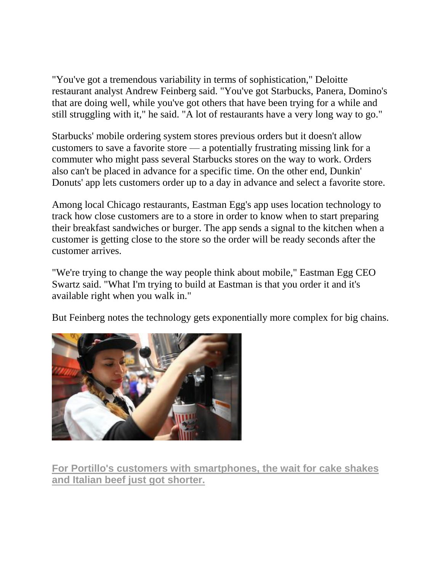"You've got a tremendous variability in terms of sophistication," Deloitte restaurant analyst Andrew Feinberg said. "You've got Starbucks, Panera, Domino's that are doing well, while you've got others that have been trying for a while and still struggling with it," he said. "A lot of restaurants have a very long way to go."

Starbucks' mobile ordering system stores previous orders but it doesn't allow customers to save a favorite store — a potentially frustrating missing link for a commuter who might pass several Starbucks stores on the way to work. Orders also can't be placed in advance for a specific time. On the other end, Dunkin' Donuts' app lets customers order up to a day in advance and select a favorite store.

Among local Chicago restaurants, Eastman Egg's app uses location technology to track how close customers are to a store in order to know when to start preparing their breakfast sandwiches or burger. The app sends a signal to the kitchen when a customer is getting close to the store so the order will be ready seconds after the customer arrives.

"We're trying to change the way people think about mobile," Eastman Egg CEO Swartz said. "What I'm trying to build at Eastman is that you order it and it's available right when you walk in."

But Feinberg notes the technology gets exponentially more complex for big chains.



**[For Portillo's customers with smartphones, the wait for cake shakes](http://www.chicagotribune.com/business/ct-portillos-app-0809-biz-20160808-story.html)  [and Italian beef just got shorter.](http://www.chicagotribune.com/business/ct-portillos-app-0809-biz-20160808-story.html)**